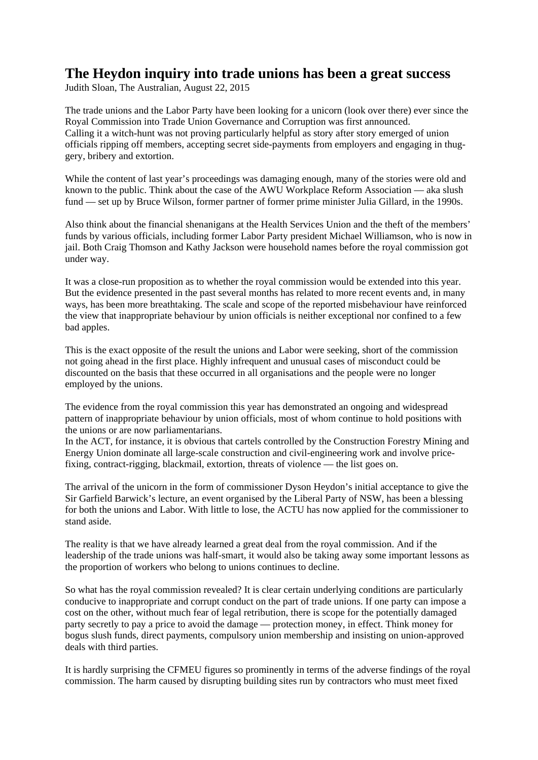## **The Heydon inquiry into trade unions has been a great success**

Judith Sloan, The Australian, August 22, 2015

The trade unions and the Labor Party have been looking for a unicorn (look over there) ever since the Royal Commission into Trade Union Governance and Corruption was first announced. Calling it a witch-hunt was not proving particularly helpful as story after story emerged of union officials ripping off members, accepting secret side-payments from employers and engaging in thuggery, bribery and extortion.

While the content of last year's proceedings was damaging enough, many of the stories were old and known to the public. Think about the case of the AWU Workplace Reform Association — aka slush fund — set up by Bruce Wilson, former partner of former prime minister Julia Gillard, in the 1990s.

Also think about the financial shenanigans at the Health Services Union and the theft of the members' funds by various officials, including former Labor Party president Michael Williamson, who is now in jail. Both Craig Thomson and Kathy Jackson were household names before the royal commission got under way.

It was a close-run proposition as to whether the royal commission would be extended into this year. But the evidence presented in the past several months has related to more recent events and, in many ways, has been more breathtaking. The scale and scope of the reported misbehaviour have reinforced the view that inappropriate behaviour by union officials is neither exceptional nor confined to a few bad apples.

This is the exact opposite of the result the unions and Labor were seeking, short of the commission not going ahead in the first place. Highly infrequent and unusual cases of misconduct could be discounted on the basis that these occurred in all organisations and the people were no longer employed by the unions.

The evidence from the royal commission this year has demonstrated an ongoing and widespread pattern of inappropriate behaviour by union officials, most of whom continue to hold positions with the unions or are now parliamentarians.

In the ACT, for instance, it is obvious that cartels controlled by the Construction Forestry Mining and Energy Union dominate all large-scale construction and civil-engineering work and involve pricefixing, contract-rigging, blackmail, extortion, threats of violence — the list goes on.

The arrival of the unicorn in the form of commissioner Dyson Heydon's initial acceptance to give the Sir Garfield Barwick's lecture, an event organised by the Liberal Party of NSW, has been a blessing for both the unions and Labor. With little to lose, the ACTU has now applied for the commissioner to stand aside.

The reality is that we have already learned a great deal from the royal commission. And if the leadership of the trade unions was half-smart, it would also be taking away some important lessons as the proportion of workers who belong to unions continues to decline.

So what has the royal commission revealed? It is clear certain underlying conditions are particularly conducive to inappropriate and corrupt conduct on the part of trade unions. If one party can impose a cost on the other, without much fear of legal retribution, there is scope for the potentially damaged party secretly to pay a price to avoid the damage — protection money, in effect. Think money for bogus slush funds, direct payments, compulsory union membership and insisting on union-approved deals with third parties.

It is hardly surprising the CFMEU figures so prominently in terms of the adverse findings of the royal commission. The harm caused by disrupting building sites run by contractors who must meet fixed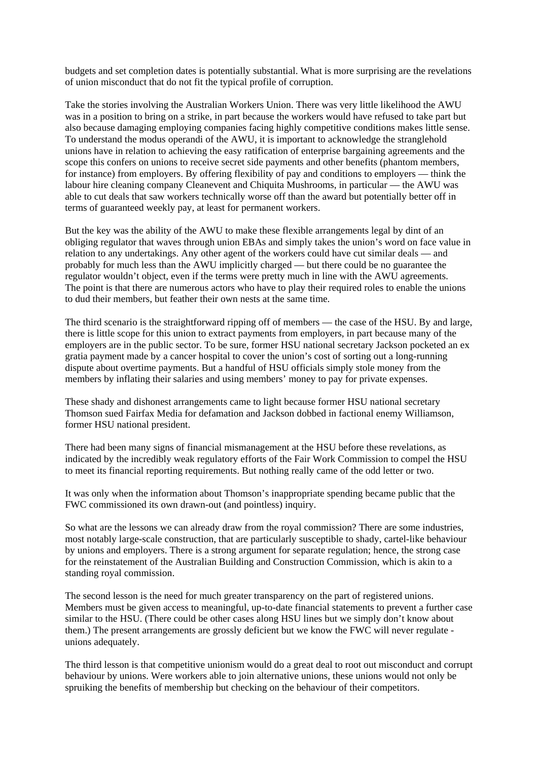budgets and set completion dates is potentially substantial. What is more surprising are the revelations of union misconduct that do not fit the typical profile of corruption.

Take the stories involving the Australian Workers Union. There was very little likelihood the AWU was in a position to bring on a strike, in part because the workers would have refused to take part but also because damaging employing companies facing highly competitive conditions makes little sense. To understand the modus operandi of the AWU, it is important to acknowledge the stranglehold unions have in relation to achieving the easy ratification of enterprise bargaining agreements and the scope this confers on unions to receive secret side payments and other benefits (phantom members, for instance) from employers. By offering flexibility of pay and conditions to employers — think the labour hire cleaning company Cleanevent and Chiquita Mushrooms, in particular — the AWU was able to cut deals that saw workers technically worse off than the award but potentially better off in terms of guaranteed weekly pay, at least for permanent workers.

But the key was the ability of the AWU to make these flexible arrangements legal by dint of an obliging regulator that waves through union EBAs and simply takes the union's word on face value in relation to any undertakings. Any other agent of the workers could have cut similar deals — and probably for much less than the AWU implicitly charged — but there could be no guarantee the regulator wouldn't object, even if the terms were pretty much in line with the AWU agreements. The point is that there are numerous actors who have to play their required roles to enable the unions to dud their members, but feather their own nests at the same time.

The third scenario is the straightforward ripping off of members — the case of the HSU. By and large, there is little scope for this union to extract payments from employers, in part because many of the employers are in the public sector. To be sure, former HSU national secretary Jackson pocketed an ex gratia payment made by a cancer hospital to cover the union's cost of sorting out a long-running dispute about overtime payments. But a handful of HSU officials simply stole money from the members by inflating their salaries and using members' money to pay for private expenses.

These shady and dishonest arrangements came to light because former HSU national secretary Thomson sued Fairfax Media for defamation and Jackson dobbed in factional enemy Williamson, former HSU national president.

There had been many signs of financial mismanagement at the HSU before these revelations, as indicated by the incredibly weak regulatory efforts of the Fair Work Commission to compel the HSU to meet its financial reporting requirements. But nothing really came of the odd letter or two.

It was only when the information about Thomson's inappropriate spending became public that the FWC commissioned its own drawn-out (and pointless) inquiry.

So what are the lessons we can already draw from the royal commission? There are some industries, most notably large-scale construction, that are particularly susceptible to shady, cartel-like behaviour by unions and employers. There is a strong argument for separate regulation; hence, the strong case for the reinstatement of the Australian Building and Construction Commission, which is akin to a standing royal commission.

The second lesson is the need for much greater transparency on the part of registered unions. Members must be given access to meaningful, up-to-date financial statements to prevent a further case similar to the HSU. (There could be other cases along HSU lines but we simply don't know about them.) The present arrangements are grossly deficient but we know the FWC will never regulate unions adequately.

The third lesson is that competitive unionism would do a great deal to root out misconduct and corrupt behaviour by unions. Were workers able to join alternative unions, these unions would not only be spruiking the benefits of membership but checking on the behaviour of their competitors.